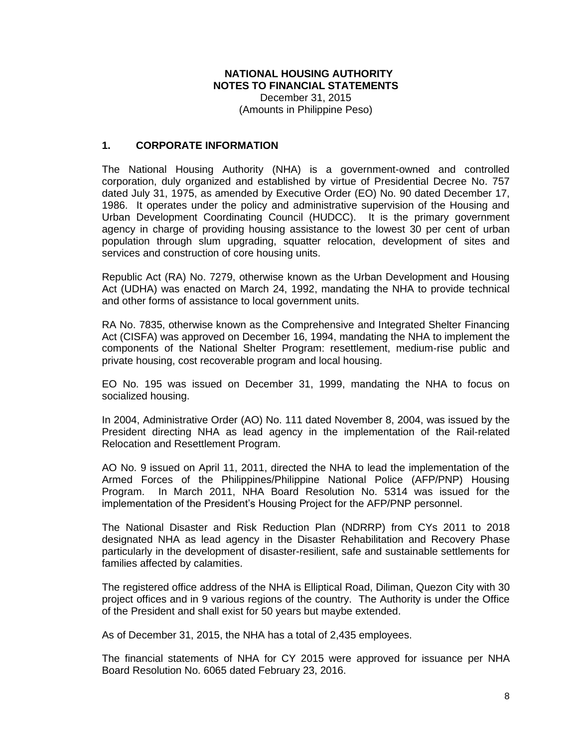#### **NATIONAL HOUSING AUTHORITY NOTES TO FINANCIAL STATEMENTS** December 31, 2015

(Amounts in Philippine Peso)

### **1. CORPORATE INFORMATION**

The National Housing Authority (NHA) is a government-owned and controlled corporation, duly organized and established by virtue of Presidential Decree No. 757 dated July 31, 1975, as amended by Executive Order (EO) No. 90 dated December 17, 1986. It operates under the policy and administrative supervision of the Housing and Urban Development Coordinating Council (HUDCC). It is the primary government agency in charge of providing housing assistance to the lowest 30 per cent of urban population through slum upgrading, squatter relocation, development of sites and services and construction of core housing units.

Republic Act (RA) No. 7279, otherwise known as the Urban Development and Housing Act (UDHA) was enacted on March 24, 1992, mandating the NHA to provide technical and other forms of assistance to local government units.

RA No. 7835, otherwise known as the Comprehensive and Integrated Shelter Financing Act (CISFA) was approved on December 16, 1994, mandating the NHA to implement the components of the National Shelter Program: resettlement, medium-rise public and private housing, cost recoverable program and local housing.

EO No. 195 was issued on December 31, 1999, mandating the NHA to focus on socialized housing.

In 2004, Administrative Order (AO) No. 111 dated November 8, 2004, was issued by the President directing NHA as lead agency in the implementation of the Rail-related Relocation and Resettlement Program.

AO No. 9 issued on April 11, 2011, directed the NHA to lead the implementation of the Armed Forces of the Philippines/Philippine National Police (AFP/PNP) Housing Program. In March 2011, NHA Board Resolution No. 5314 was issued for the implementation of the President's Housing Project for the AFP/PNP personnel.

The National Disaster and Risk Reduction Plan (NDRRP) from CYs 2011 to 2018 designated NHA as lead agency in the Disaster Rehabilitation and Recovery Phase particularly in the development of disaster-resilient, safe and sustainable settlements for families affected by calamities.

The registered office address of the NHA is Elliptical Road, Diliman, Quezon City with 30 project offices and in 9 various regions of the country. The Authority is under the Office of the President and shall exist for 50 years but maybe extended.

As of December 31, 2015, the NHA has a total of 2,435 employees.

The financial statements of NHA for CY 2015 were approved for issuance per NHA Board Resolution No. 6065 dated February 23, 2016.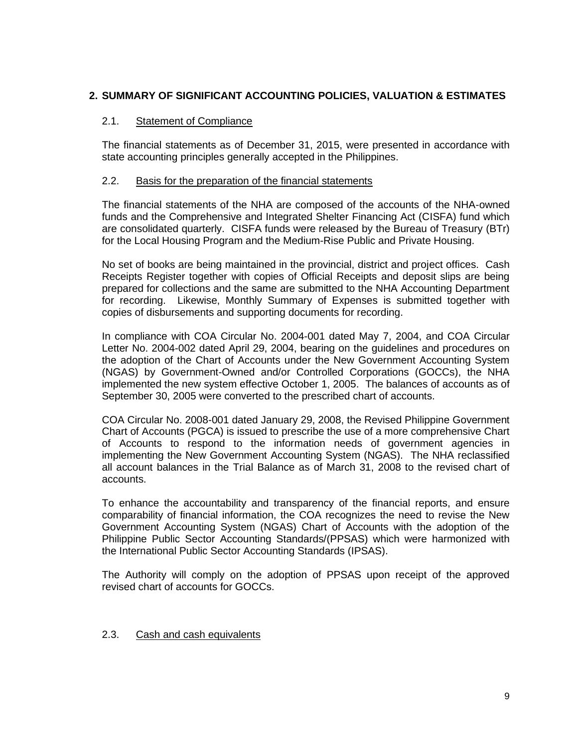## **2. SUMMARY OF SIGNIFICANT ACCOUNTING POLICIES, VALUATION & ESTIMATES**

#### 2.1. Statement of Compliance

The financial statements as of December 31, 2015, were presented in accordance with state accounting principles generally accepted in the Philippines.

#### 2.2. Basis for the preparation of the financial statements

The financial statements of the NHA are composed of the accounts of the NHA-owned funds and the Comprehensive and Integrated Shelter Financing Act (CISFA) fund which are consolidated quarterly. CISFA funds were released by the Bureau of Treasury (BTr) for the Local Housing Program and the Medium-Rise Public and Private Housing.

No set of books are being maintained in the provincial, district and project offices. Cash Receipts Register together with copies of Official Receipts and deposit slips are being prepared for collections and the same are submitted to the NHA Accounting Department for recording. Likewise, Monthly Summary of Expenses is submitted together with copies of disbursements and supporting documents for recording.

In compliance with COA Circular No. 2004-001 dated May 7, 2004, and COA Circular Letter No. 2004-002 dated April 29, 2004, bearing on the guidelines and procedures on the adoption of the Chart of Accounts under the New Government Accounting System (NGAS) by Government-Owned and/or Controlled Corporations (GOCCs), the NHA implemented the new system effective October 1, 2005. The balances of accounts as of September 30, 2005 were converted to the prescribed chart of accounts.

COA Circular No. 2008-001 dated January 29, 2008, the Revised Philippine Government Chart of Accounts (PGCA) is issued to prescribe the use of a more comprehensive Chart of Accounts to respond to the information needs of government agencies in implementing the New Government Accounting System (NGAS). The NHA reclassified all account balances in the Trial Balance as of March 31, 2008 to the revised chart of accounts.

To enhance the accountability and transparency of the financial reports, and ensure comparability of financial information, the COA recognizes the need to revise the New Government Accounting System (NGAS) Chart of Accounts with the adoption of the Philippine Public Sector Accounting Standards/(PPSAS) which were harmonized with the International Public Sector Accounting Standards (IPSAS).

The Authority will comply on the adoption of PPSAS upon receipt of the approved revised chart of accounts for GOCCs.

#### 2.3. Cash and cash equivalents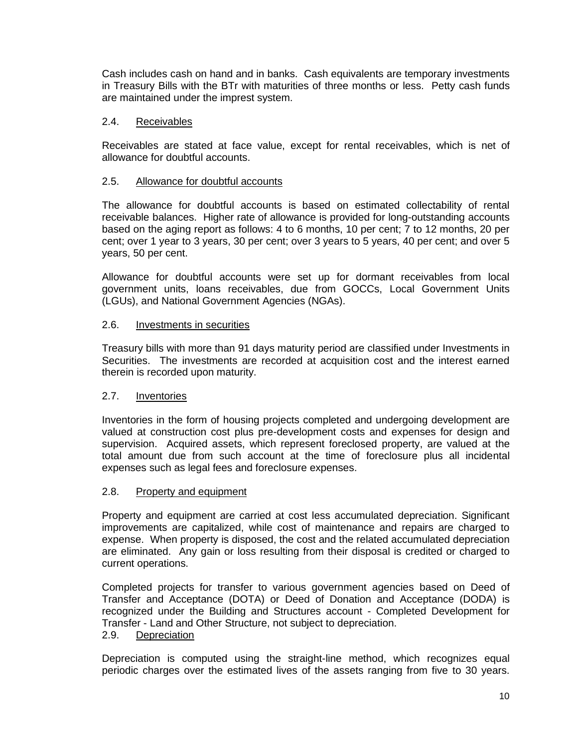Cash includes cash on hand and in banks. Cash equivalents are temporary investments in Treasury Bills with the BTr with maturities of three months or less. Petty cash funds are maintained under the imprest system.

### 2.4. Receivables

Receivables are stated at face value, except for rental receivables, which is net of allowance for doubtful accounts.

### 2.5. Allowance for doubtful accounts

The allowance for doubtful accounts is based on estimated collectability of rental receivable balances. Higher rate of allowance is provided for long-outstanding accounts based on the aging report as follows: 4 to 6 months, 10 per cent; 7 to 12 months, 20 per cent; over 1 year to 3 years, 30 per cent; over 3 years to 5 years, 40 per cent; and over 5 years, 50 per cent.

Allowance for doubtful accounts were set up for dormant receivables from local government units, loans receivables, due from GOCCs, Local Government Units (LGUs), and National Government Agencies (NGAs).

#### 2.6. Investments in securities

Treasury bills with more than 91 days maturity period are classified under Investments in Securities. The investments are recorded at acquisition cost and the interest earned therein is recorded upon maturity.

#### 2.7. Inventories

Inventories in the form of housing projects completed and undergoing development are valued at construction cost plus pre-development costs and expenses for design and supervision. Acquired assets, which represent foreclosed property, are valued at the total amount due from such account at the time of foreclosure plus all incidental expenses such as legal fees and foreclosure expenses.

#### 2.8. Property and equipment

Property and equipment are carried at cost less accumulated depreciation. Significant improvements are capitalized, while cost of maintenance and repairs are charged to expense. When property is disposed, the cost and the related accumulated depreciation are eliminated. Any gain or loss resulting from their disposal is credited or charged to current operations.

Completed projects for transfer to various government agencies based on Deed of Transfer and Acceptance (DOTA) or Deed of Donation and Acceptance (DODA) is recognized under the Building and Structures account - Completed Development for Transfer - Land and Other Structure, not subject to depreciation.

#### 2.9. Depreciation

Depreciation is computed using the straight-line method, which recognizes equal periodic charges over the estimated lives of the assets ranging from five to 30 years.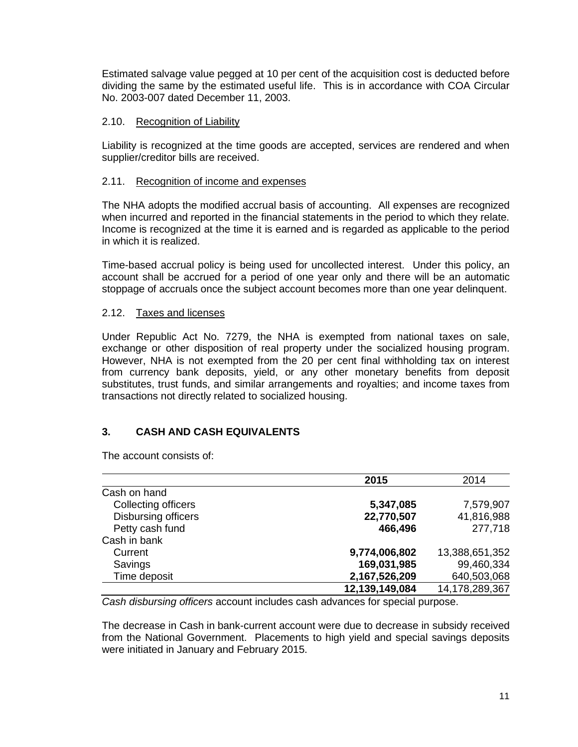Estimated salvage value pegged at 10 per cent of the acquisition cost is deducted before dividing the same by the estimated useful life. This is in accordance with COA Circular No. 2003-007 dated December 11, 2003.

### 2.10. Recognition of Liability

Liability is recognized at the time goods are accepted, services are rendered and when supplier/creditor bills are received.

### 2.11. Recognition of income and expenses

The NHA adopts the modified accrual basis of accounting. All expenses are recognized when incurred and reported in the financial statements in the period to which they relate. Income is recognized at the time it is earned and is regarded as applicable to the period in which it is realized.

Time-based accrual policy is being used for uncollected interest. Under this policy, an account shall be accrued for a period of one year only and there will be an automatic stoppage of accruals once the subject account becomes more than one year delinquent.

#### 2.12. Taxes and licenses

Under Republic Act No. 7279, the NHA is exempted from national taxes on sale, exchange or other disposition of real property under the socialized housing program. However, NHA is not exempted from the 20 per cent final withholding tax on interest from currency bank deposits, yield, or any other monetary benefits from deposit substitutes, trust funds, and similar arrangements and royalties; and income taxes from transactions not directly related to socialized housing.

# **3. CASH AND CASH EQUIVALENTS**

The account consists of:

|                     | 2015           | 2014           |
|---------------------|----------------|----------------|
| Cash on hand        |                |                |
| Collecting officers | 5,347,085      | 7,579,907      |
| Disbursing officers | 22,770,507     | 41,816,988     |
| Petty cash fund     | 466,496        | 277,718        |
| Cash in bank        |                |                |
| Current             | 9,774,006,802  | 13,388,651,352 |
| Savings             | 169,031,985    | 99,460,334     |
| Time deposit        | 2,167,526,209  | 640,503,068    |
|                     | 12,139,149,084 | 14,178,289,367 |

*Cash disbursing officers* account includes cash advances for special purpose.

The decrease in Cash in bank-current account were due to decrease in subsidy received from the National Government. Placements to high yield and special savings deposits were initiated in January and February 2015.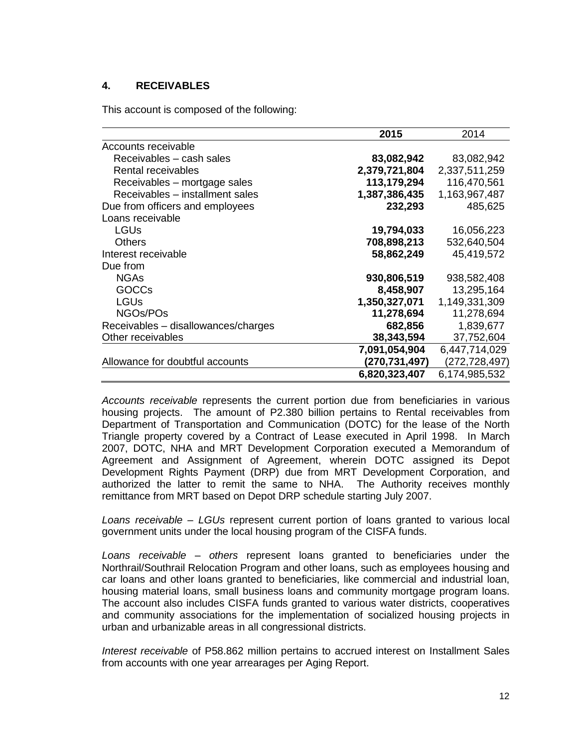### **4. RECEIVABLES**

This account is composed of the following:

|                                     | 2015          | 2014          |
|-------------------------------------|---------------|---------------|
| Accounts receivable                 |               |               |
| Receivables - cash sales            | 83,082,942    | 83,082,942    |
| Rental receivables                  | 2,379,721,804 | 2,337,511,259 |
| Receivables – mortgage sales        | 113,179,294   | 116,470,561   |
| Receivables – installment sales     | 1,387,386,435 | 1,163,967,487 |
| Due from officers and employees     | 232,293       | 485,625       |
| Loans receivable                    |               |               |
| LGUs                                | 19,794,033    | 16,056,223    |
| Others                              | 708,898,213   | 532,640,504   |
| Interest receivable                 | 58,862,249    | 45,419,572    |
| Due from                            |               |               |
| <b>NGAs</b>                         | 930,806,519   | 938,582,408   |
| <b>GOCCs</b>                        | 8,458,907     | 13,295,164    |
| <b>LGUs</b>                         | 1,350,327,071 | 1,149,331,309 |
| NGOs/POs                            | 11,278,694    | 11,278,694    |
| Receivables - disallowances/charges | 682,856       | 1,839,677     |
| Other receivables                   | 38,343,594    | 37,752,604    |
|                                     | 7,091,054,904 | 6,447,714,029 |
| Allowance for doubtful accounts     | (270,731,497) | (272,728,497) |
|                                     | 6,820,323,407 | 6,174,985,532 |

*Accounts receivable* represents the current portion due from beneficiaries in various housing projects. The amount of P2.380 billion pertains to Rental receivables from Department of Transportation and Communication (DOTC) for the lease of the North Triangle property covered by a Contract of Lease executed in April 1998. In March 2007, DOTC, NHA and MRT Development Corporation executed a Memorandum of Agreement and Assignment of Agreement, wherein DOTC assigned its Depot Development Rights Payment (DRP) due from MRT Development Corporation, and authorized the latter to remit the same to NHA. The Authority receives monthly remittance from MRT based on Depot DRP schedule starting July 2007.

*Loans receivable – LGUs* represent current portion of loans granted to various local government units under the local housing program of the CISFA funds.

*Loans receivable – others* represent loans granted to beneficiaries under the Northrail/Southrail Relocation Program and other loans, such as employees housing and car loans and other loans granted to beneficiaries, like commercial and industrial loan, housing material loans, small business loans and community mortgage program loans. The account also includes CISFA funds granted to various water districts, cooperatives and community associations for the implementation of socialized housing projects in urban and urbanizable areas in all congressional districts.

*Interest receivable* of P58.862 million pertains to accrued interest on Installment Sales from accounts with one year arrearages per Aging Report.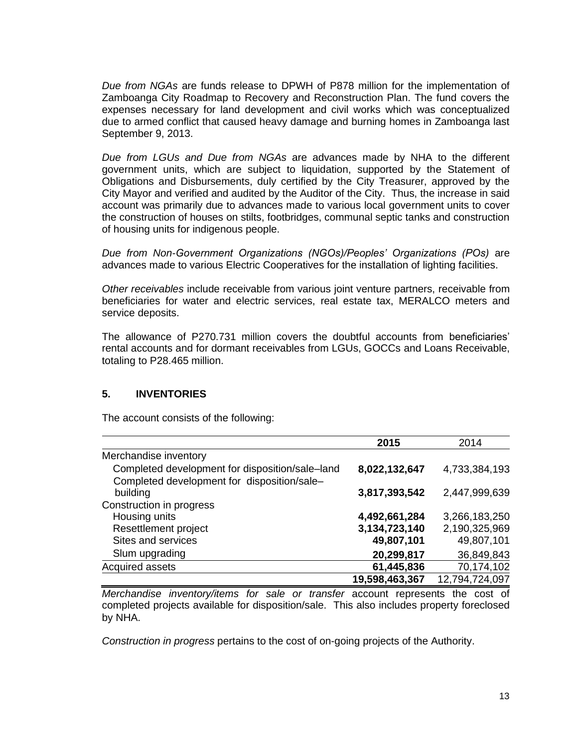*Due from NGAs* are funds release to DPWH of P878 million for the implementation of Zamboanga City Roadmap to Recovery and Reconstruction Plan. The fund covers the expenses necessary for land development and civil works which was conceptualized due to armed conflict that caused heavy damage and burning homes in Zamboanga last September 9, 2013.

*Due from LGUs and Due from NGAs* are advances made by NHA to the different government units, which are subject to liquidation, supported by the Statement of Obligations and Disbursements, duly certified by the City Treasurer, approved by the City Mayor and verified and audited by the Auditor of the City. Thus, the increase in said account was primarily due to advances made to various local government units to cover the construction of houses on stilts, footbridges, communal septic tanks and construction of housing units for indigenous people.

*Due from Non-Government Organizations (NGOs)/Peoples' Organizations (POs)* are advances made to various Electric Cooperatives for the installation of lighting facilities.

*Other receivables* include receivable from various joint venture partners, receivable from beneficiaries for water and electric services, real estate tax, MERALCO meters and service deposits.

The allowance of P270.731 million covers the doubtful accounts from beneficiaries' rental accounts and for dormant receivables from LGUs, GOCCs and Loans Receivable, totaling to P28.465 million.

#### **5. INVENTORIES**

The account consists of the following:

|                                                                                                | 2015           | 2014           |
|------------------------------------------------------------------------------------------------|----------------|----------------|
| Merchandise inventory                                                                          |                |                |
| Completed development for disposition/sale-land<br>Completed development for disposition/sale- | 8,022,132,647  | 4,733,384,193  |
| building                                                                                       | 3,817,393,542  | 2,447,999,639  |
| Construction in progress                                                                       |                |                |
| Housing units                                                                                  | 4,492,661,284  | 3,266,183,250  |
| Resettlement project                                                                           | 3,134,723,140  | 2,190,325,969  |
| Sites and services                                                                             | 49,807,101     | 49,807,101     |
| Slum upgrading                                                                                 | 20,299,817     | 36,849,843     |
| Acquired assets                                                                                | 61,445,836     | 70,174,102     |
|                                                                                                | 19,598,463,367 | 12,794,724,097 |

*Merchandise inventory/items for sale or transfer* account represents the cost of completed projects available for disposition/sale. This also includes property foreclosed by NHA.

*Construction in progress* pertains to the cost of on-going projects of the Authority.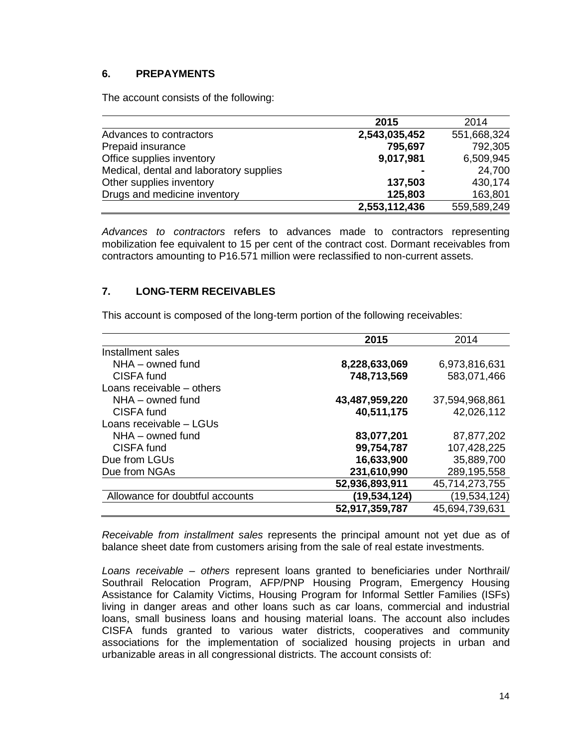### **6. PREPAYMENTS**

The account consists of the following:

|                                         | 2015           | 2014        |
|-----------------------------------------|----------------|-------------|
| Advances to contractors                 | 2,543,035,452  | 551,668,324 |
| Prepaid insurance                       | 795,697        | 792,305     |
| Office supplies inventory               | 9,017,981      | 6,509,945   |
| Medical, dental and laboratory supplies | $\blacksquare$ | 24,700      |
| Other supplies inventory                | 137,503        | 430,174     |
| Drugs and medicine inventory            | 125,803        | 163,801     |
|                                         | 2,553,112,436  | 559,589,249 |

*Advances to contractors* refers to advances made to contractors representing mobilization fee equivalent to 15 per cent of the contract cost. Dormant receivables from contractors amounting to P16.571 million were reclassified to non-current assets.

### **7. LONG-TERM RECEIVABLES**

This account is composed of the long-term portion of the following receivables:

|                                 | 2015           | 2014           |
|---------------------------------|----------------|----------------|
| Installment sales               |                |                |
| NHA - owned fund                | 8,228,633,069  | 6,973,816,631  |
| CISFA fund                      | 748,713,569    | 583,071,466    |
| Loans receivable – others       |                |                |
| NHA - owned fund                | 43,487,959,220 | 37,594,968,861 |
| CISFA fund                      | 40,511,175     | 42,026,112     |
| Loans receivable - LGUs         |                |                |
| $NHA -$ owned fund              | 83,077,201     | 87,877,202     |
| CISFA fund                      | 99,754,787     | 107,428,225    |
| Due from LGUs                   | 16,633,900     | 35,889,700     |
| Due from NGAs                   | 231,610,990    | 289,195,558    |
|                                 | 52,936,893,911 | 45,714,273,755 |
| Allowance for doubtful accounts | (19,534,124)   | (19,534,124)   |
|                                 | 52,917,359,787 | 45,694,739,631 |

*Receivable from installment sales* represents the principal amount not yet due as of balance sheet date from customers arising from the sale of real estate investments.

*Loans receivable – others* represent loans granted to beneficiaries under Northrail/ Southrail Relocation Program, AFP/PNP Housing Program, Emergency Housing Assistance for Calamity Victims, Housing Program for Informal Settler Families (ISFs) living in danger areas and other loans such as car loans, commercial and industrial loans, small business loans and housing material loans. The account also includes CISFA funds granted to various water districts, cooperatives and community associations for the implementation of socialized housing projects in urban and urbanizable areas in all congressional districts. The account consists of: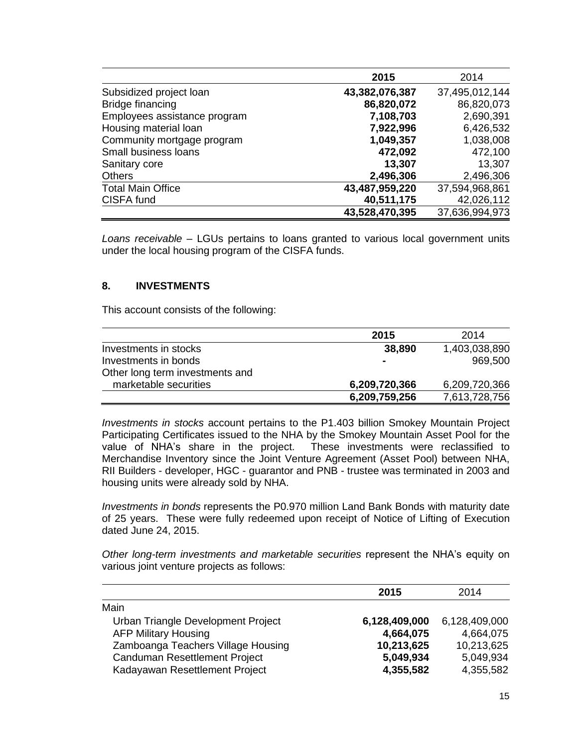|                              | 2015           | 2014           |
|------------------------------|----------------|----------------|
| Subsidized project loan      | 43,382,076,387 | 37,495,012,144 |
| Bridge financing             | 86,820,072     | 86,820,073     |
| Employees assistance program | 7,108,703      | 2,690,391      |
| Housing material loan        | 7,922,996      | 6,426,532      |
| Community mortgage program   | 1,049,357      | 1,038,008      |
| Small business loans         | 472,092        | 472,100        |
| Sanitary core                | 13,307         | 13,307         |
| <b>Others</b>                | 2,496,306      | 2,496,306      |
| <b>Total Main Office</b>     | 43,487,959,220 | 37,594,968,861 |
| CISFA fund                   | 40,511,175     | 42,026,112     |
|                              | 43,528,470,395 | 37,636,994,973 |

*Loans receivable –* LGUs pertains to loans granted to various local government units under the local housing program of the CISFA funds.

#### **8. INVESTMENTS**

This account consists of the following:

|                                 | 2015          | 2014          |
|---------------------------------|---------------|---------------|
| Investments in stocks           | 38,890        | 1,403,038,890 |
| Investments in bonds            |               | 969,500       |
| Other long term investments and |               |               |
| marketable securities           | 6,209,720,366 | 6,209,720,366 |
|                                 | 6,209,759,256 | 7,613,728,756 |

*Investments in stocks* account pertains to the P1.403 billion Smokey Mountain Project Participating Certificates issued to the NHA by the Smokey Mountain Asset Pool for the value of NHA's share in the project. These investments were reclassified to Merchandise Inventory since the Joint Venture Agreement (Asset Pool) between NHA, RII Builders - developer, HGC - guarantor and PNB - trustee was terminated in 2003 and housing units were already sold by NHA.

*Investments in bonds* represents the P0.970 million Land Bank Bonds with maturity date of 25 years. These were fully redeemed upon receipt of Notice of Lifting of Execution dated June 24, 2015.

*Other long-term investments and marketable securities* represent the NHA's equity on various joint venture projects as follows:

|                                    | 2015          | 2014          |
|------------------------------------|---------------|---------------|
| Main                               |               |               |
| Urban Triangle Development Project | 6,128,409,000 | 6,128,409,000 |
| <b>AFP Military Housing</b>        | 4,664,075     | 4,664,075     |
| Zamboanga Teachers Village Housing | 10,213,625    | 10,213,625    |
| Canduman Resettlement Project      | 5,049,934     | 5,049,934     |
| Kadayawan Resettlement Project     | 4,355,582     | 4,355,582     |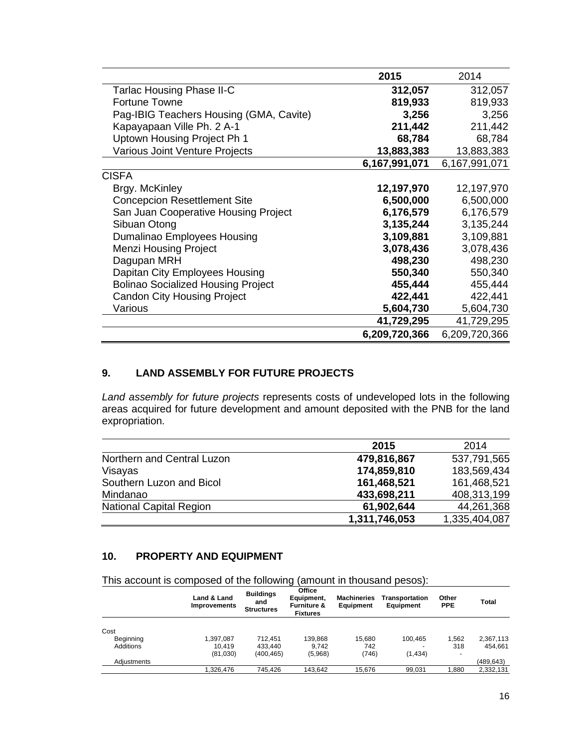|                                           | 2015          | 2014          |
|-------------------------------------------|---------------|---------------|
| Tarlac Housing Phase II-C                 | 312,057       | 312,057       |
| Fortune Towne                             | 819,933       | 819,933       |
| Pag-IBIG Teachers Housing (GMA, Cavite)   | 3,256         | 3,256         |
| Kapayapaan Ville Ph. 2 A-1                | 211,442       | 211,442       |
| Uptown Housing Project Ph 1               | 68,784        | 68,784        |
| Various Joint Venture Projects            | 13,883,383    | 13,883,383    |
|                                           | 6,167,991,071 | 6,167,991,071 |
| <b>CISFA</b>                              |               |               |
| Brgy. McKinley                            | 12,197,970    | 12,197,970    |
| <b>Concepcion Resettlement Site</b>       | 6,500,000     | 6,500,000     |
| San Juan Cooperative Housing Project      | 6,176,579     | 6,176,579     |
| Sibuan Otong                              | 3,135,244     | 3,135,244     |
| Dumalinao Employees Housing               | 3,109,881     | 3,109,881     |
| <b>Menzi Housing Project</b>              | 3,078,436     | 3,078,436     |
| Dagupan MRH                               | 498,230       | 498,230       |
| Dapitan City Employees Housing            | 550,340       | 550,340       |
| <b>Bolinao Socialized Housing Project</b> | 455,444       | 455,444       |
| <b>Candon City Housing Project</b>        | 422,441       | 422,441       |
| Various                                   | 5,604,730     | 5,604,730     |
|                                           | 41,729,295    | 41,729,295    |
|                                           | 6,209,720,366 | 6,209,720,366 |

### **9. LAND ASSEMBLY FOR FUTURE PROJECTS**

*Land assembly for future projects* represents costs of undeveloped lots in the following areas acquired for future development and amount deposited with the PNB for the land expropriation.

|                                | 2015          | 2014          |
|--------------------------------|---------------|---------------|
| Northern and Central Luzon     | 479,816,867   | 537,791,565   |
| Visayas                        | 174,859,810   | 183,569,434   |
| Southern Luzon and Bicol       | 161,468,521   | 161,468,521   |
| Mindanao                       | 433,698,211   | 408,313,199   |
| <b>National Capital Region</b> | 61,902,644    | 44,261,368    |
|                                | 1,311,746,053 | 1,335,404,087 |

# **10. PROPERTY AND EQUIPMENT**

This account is composed of the following (amount in thousand pesos):

| Land & Land<br><b>Improvements</b> | <b>Buildings</b><br>and<br><b>Structures</b> | Office<br>Equipment,<br><b>Furniture &amp;</b><br><b>Fixtures</b> | <b>Machineries</b><br>Equipment | Transportation<br><b>Equipment</b> | Other<br><b>PPE</b>      | <b>Total</b> |
|------------------------------------|----------------------------------------------|-------------------------------------------------------------------|---------------------------------|------------------------------------|--------------------------|--------------|
|                                    |                                              |                                                                   |                                 |                                    |                          |              |
| 1.397.087                          | 712.451                                      | 139.868                                                           | 15.680                          | 100.465                            | 1.562                    | 2,367,113    |
| 10.419                             | 433.440                                      | 9.742                                                             | 742                             |                                    | 318                      | 454.661      |
| (81,030)                           | (400, 465)                                   | (5,968)                                                           | (746)                           | (1, 434)                           | $\overline{\phantom{0}}$ |              |
|                                    |                                              |                                                                   |                                 |                                    |                          | (489, 643)   |
| 1.326.476                          | 745.426                                      | 143.642                                                           | 15.676                          | 99,031                             | 1.880                    | 2,332,131    |
|                                    |                                              |                                                                   |                                 |                                    |                          |              |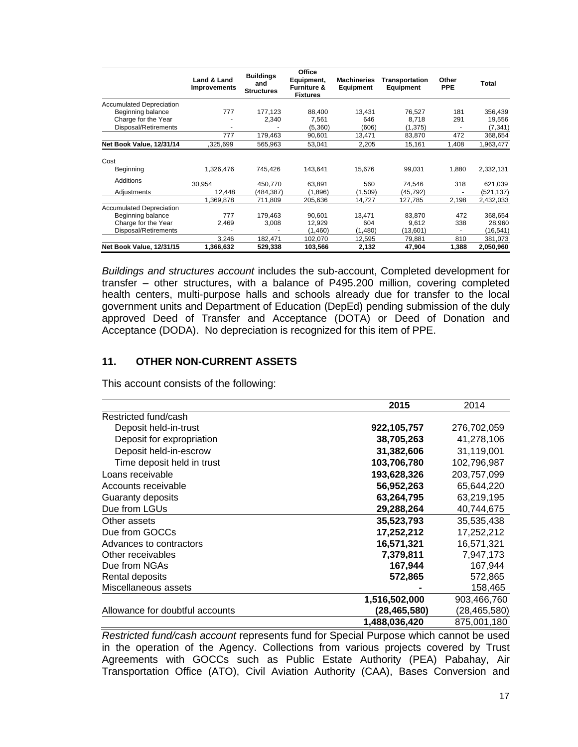|                                 | Land & Land<br>Improvements | <b>Buildings</b><br>and<br><b>Structures</b> | Office<br>Equipment,<br><b>Furniture &amp;</b><br><b>Fixtures</b> | <b>Machineries</b><br>Equipment | Transportation<br><b>Equipment</b> | Other<br><b>PPE</b> | Total     |
|---------------------------------|-----------------------------|----------------------------------------------|-------------------------------------------------------------------|---------------------------------|------------------------------------|---------------------|-----------|
| <b>Accumulated Depreciation</b> |                             |                                              |                                                                   |                                 |                                    |                     |           |
| Beginning balance               | 777                         | 177,123                                      | 88,400                                                            | 13,431                          | 76,527                             | 181                 | 356,439   |
| Charge for the Year             |                             | 2,340                                        | 7.561                                                             | 646                             | 8,718                              | 291                 | 19,556    |
| Disposal/Retirements            |                             |                                              | (5,360)                                                           | (606)                           | (1, 375)                           |                     | (7, 341)  |
|                                 | 777                         | 179,463                                      | 90,601                                                            | 13,471                          | 83,870                             | 472                 | 368,654   |
| Net Book Value, 12/31/14        | .325,699                    | 565,963                                      | 53,041                                                            | 2,205                           | 15,161                             | 1,408               | 1,963,477 |
| Cost                            |                             |                                              |                                                                   |                                 |                                    |                     |           |
| Beginning                       | 1,326,476                   | 745,426                                      | 143.641                                                           | 15,676                          | 99,031                             | 1,880               | 2,332,131 |
| Additions                       | 30.954                      | 450.770                                      | 63.891                                                            | 560                             | 74,546                             | 318                 | 621,039   |
| Adjustments                     | 12.448                      | (484,387)                                    | (1,896)                                                           | (1,509)                         | (45, 792)                          |                     | (521,137) |
|                                 | 1,369,878                   | 711,809                                      | 205,636                                                           | 14,727                          | 127,785                            | 2,198               | 2,432,033 |
| <b>Accumulated Depreciation</b> |                             |                                              |                                                                   |                                 |                                    |                     |           |
| Beginning balance               | 777                         | 179.463                                      | 90.601                                                            | 13.471                          | 83,870                             | 472                 | 368,654   |
| Charge for the Year             | 2,469                       | 3,008                                        | 12,929                                                            | 604                             | 9,612                              | 338                 | 28,960    |
| Disposal/Retirements            |                             |                                              | (1,460)                                                           | (1,480)                         | (13,601)                           | ٠                   | (16, 541) |
|                                 | 3,246                       | 182,471                                      | 102,070                                                           | 12,595                          | 79,881                             | 810                 | 381,073   |
| Net Book Value, 12/31/15        | 1,366,632                   | 529,338                                      | 103,566                                                           | 2,132                           | 47,904                             | 1,388               | 2,050,960 |

*Buildings and structures account* includes the sub-account, Completed development for transfer – other structures, with a balance of P495.200 million, covering completed health centers, multi-purpose halls and schools already due for transfer to the local government units and Department of Education (DepEd) pending submission of the duly approved Deed of Transfer and Acceptance (DOTA) or Deed of Donation and Acceptance (DODA). No depreciation is recognized for this item of PPE.

### **11. OTHER NON-CURRENT ASSETS**

This account consists of the following:

|                                 | 2015          | 2014         |
|---------------------------------|---------------|--------------|
| Restricted fund/cash            |               |              |
| Deposit held-in-trust           | 922,105,757   | 276,702,059  |
| Deposit for expropriation       | 38,705,263    | 41,278,106   |
| Deposit held-in-escrow          | 31,382,606    | 31,119,001   |
| Time deposit held in trust      | 103,706,780   | 102,796,987  |
| Loans receivable                | 193,628,326   | 203,757,099  |
| Accounts receivable             | 56,952,263    | 65,644,220   |
| Guaranty deposits               | 63,264,795    | 63,219,195   |
| Due from LGUs                   | 29,288,264    | 40,744,675   |
| Other assets                    | 35,523,793    | 35,535,438   |
| Due from GOCCs                  | 17,252,212    | 17,252,212   |
| Advances to contractors         | 16,571,321    | 16,571,321   |
| Other receivables               | 7,379,811     | 7,947,173    |
| Due from NGAs                   | 167,944       | 167,944      |
| Rental deposits                 | 572,865       | 572,865      |
| Miscellaneous assets            |               | 158,465      |
|                                 | 1,516,502,000 | 903,466,760  |
| Allowance for doubtful accounts | (28,465,580)  | (28,465,580) |
|                                 | 1,488,036,420 | 875,001,180  |

*Restricted fund/cash account* represents fund for Special Purpose which cannot be used in the operation of the Agency. Collections from various projects covered by Trust Agreements with GOCCs such as Public Estate Authority (PEA) Pabahay, Air Transportation Office (ATO), Civil Aviation Authority (CAA), Bases Conversion and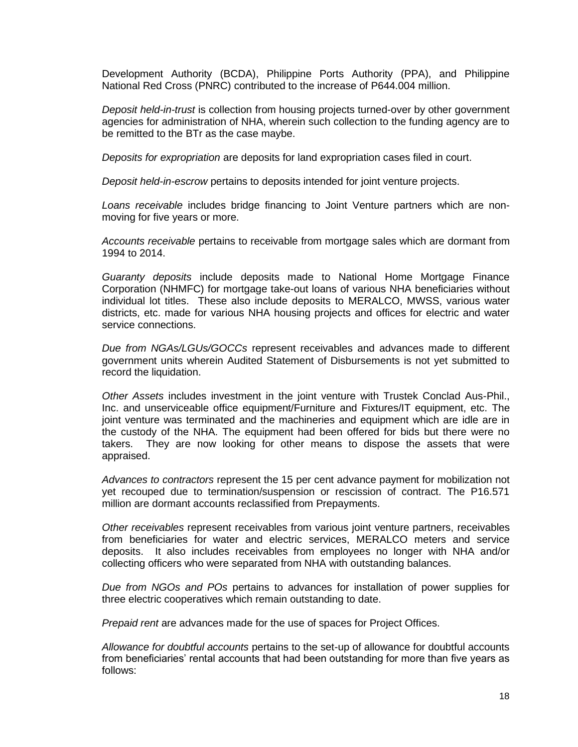Development Authority (BCDA), Philippine Ports Authority (PPA), and Philippine National Red Cross (PNRC) contributed to the increase of P644.004 million.

*Deposit held-in-trust* is collection from housing projects turned-over by other government agencies for administration of NHA, wherein such collection to the funding agency are to be remitted to the BTr as the case maybe.

*Deposits for expropriation* are deposits for land expropriation cases filed in court.

*Deposit held-in-escrow* pertains to deposits intended for joint venture projects.

*Loans receivable* includes bridge financing to Joint Venture partners which are nonmoving for five years or more.

*Accounts receivable* pertains to receivable from mortgage sales which are dormant from 1994 to 2014.

*Guaranty deposits* include deposits made to National Home Mortgage Finance Corporation (NHMFC) for mortgage take-out loans of various NHA beneficiaries without individual lot titles. These also include deposits to MERALCO, MWSS, various water districts, etc. made for various NHA housing projects and offices for electric and water service connections.

*Due from NGAs/LGUs/GOCCs* represent receivables and advances made to different government units wherein Audited Statement of Disbursements is not yet submitted to record the liquidation.

*Other Assets* includes investment in the joint venture with Trustek Conclad Aus-Phil., Inc. and unserviceable office equipment/Furniture and Fixtures/IT equipment, etc. The joint venture was terminated and the machineries and equipment which are idle are in the custody of the NHA. The equipment had been offered for bids but there were no takers. They are now looking for other means to dispose the assets that were appraised.

*Advances to contractors* represent the 15 per cent advance payment for mobilization not yet recouped due to termination/suspension or rescission of contract. The P16.571 million are dormant accounts reclassified from Prepayments.

*Other receivables* represent receivables from various joint venture partners, receivables from beneficiaries for water and electric services, MERALCO meters and service deposits. It also includes receivables from employees no longer with NHA and/or collecting officers who were separated from NHA with outstanding balances.

*Due from NGOs and POs* pertains to advances for installation of power supplies for three electric cooperatives which remain outstanding to date.

*Prepaid rent* are advances made for the use of spaces for Project Offices.

*Allowance for doubtful accounts* pertains to the set-up of allowance for doubtful accounts from beneficiaries' rental accounts that had been outstanding for more than five years as follows: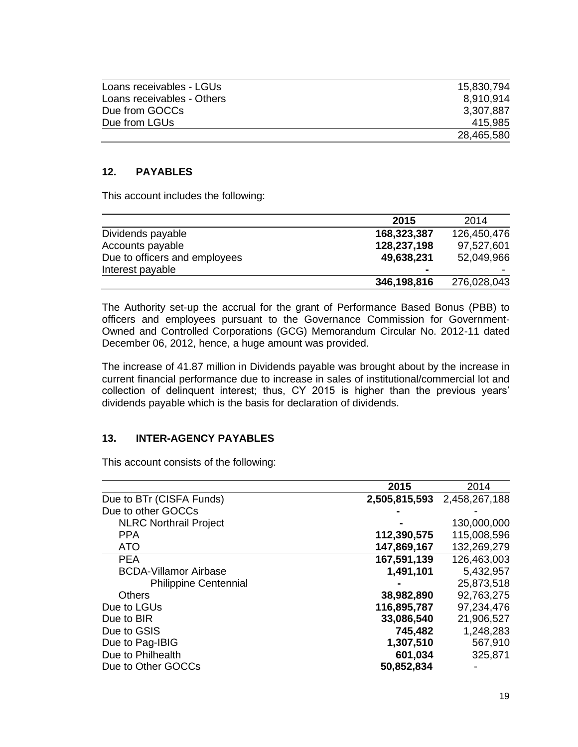| Loans receivables - LGUs   | 15,830,794 |
|----------------------------|------------|
| Loans receivables - Others | 8.910.914  |
| Due from GOCCs             | 3,307,887  |
| Due from LGUs              | 415.985    |
|                            | 28,465,580 |

### **12. PAYABLES**

This account includes the following:

|                               | 2015           | 2014        |
|-------------------------------|----------------|-------------|
| Dividends payable             | 168,323,387    | 126,450,476 |
| Accounts payable              | 128,237,198    | 97,527,601  |
| Due to officers and employees | 49,638,231     | 52,049,966  |
| Interest payable              | $\blacksquare$ |             |
|                               | 346,198,816    | 276,028,043 |

The Authority set-up the accrual for the grant of Performance Based Bonus (PBB) to officers and employees pursuant to the Governance Commission for Government-Owned and Controlled Corporations (GCG) Memorandum Circular No. 2012-11 dated December 06, 2012, hence, a huge amount was provided.

The increase of 41.87 million in Dividends payable was brought about by the increase in current financial performance due to increase in sales of institutional/commercial lot and collection of delinquent interest; thus, CY 2015 is higher than the previous years' dividends payable which is the basis for declaration of dividends.

#### **13. INTER-AGENCY PAYABLES**

This account consists of the following:

|                               | 2015          | 2014          |
|-------------------------------|---------------|---------------|
| Due to BTr (CISFA Funds)      | 2,505,815,593 | 2,458,267,188 |
| Due to other GOCCs            |               |               |
| <b>NLRC Northrail Project</b> |               | 130,000,000   |
| <b>PPA</b>                    | 112,390,575   | 115,008,596   |
| <b>ATO</b>                    | 147,869,167   | 132,269,279   |
| <b>PEA</b>                    | 167,591,139   | 126,463,003   |
| <b>BCDA-Villamor Airbase</b>  | 1,491,101     | 5,432,957     |
| <b>Philippine Centennial</b>  |               | 25,873,518    |
| Others                        | 38,982,890    | 92,763,275    |
| Due to LGUs                   | 116,895,787   | 97,234,476    |
| Due to BIR                    | 33,086,540    | 21,906,527    |
| Due to GSIS                   | 745,482       | 1,248,283     |
| Due to Pag-IBIG               | 1,307,510     | 567,910       |
| Due to Philhealth             | 601,034       | 325,871       |
| Due to Other GOCCs            | 50,852,834    |               |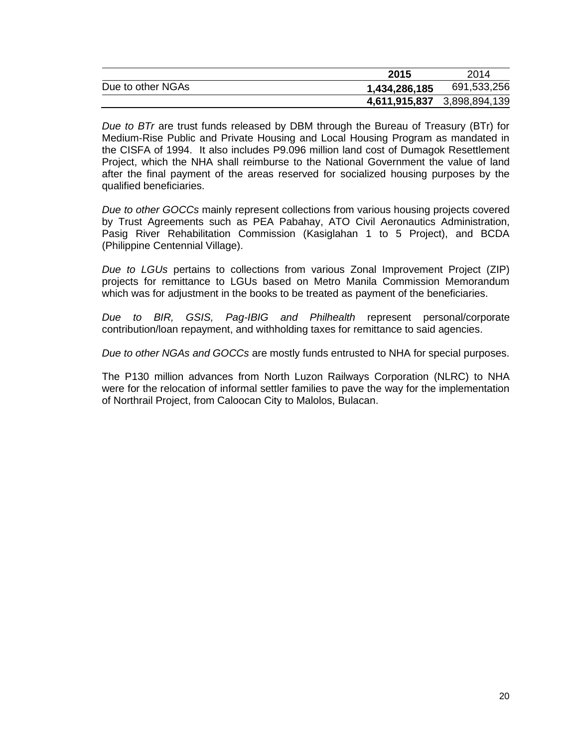|                   | 2015                        | 2014        |
|-------------------|-----------------------------|-------------|
| Due to other NGAs | 1,434,286,185               | 691,533,256 |
|                   | 4,611,915,837 3,898,894,139 |             |

*Due to BTr* are trust funds released by DBM through the Bureau of Treasury (BTr) for Medium-Rise Public and Private Housing and Local Housing Program as mandated in the CISFA of 1994. It also includes P9.096 million land cost of Dumagok Resettlement Project, which the NHA shall reimburse to the National Government the value of land after the final payment of the areas reserved for socialized housing purposes by the qualified beneficiaries.

*Due to other GOCCs* mainly represent collections from various housing projects covered by Trust Agreements such as PEA Pabahay, ATO Civil Aeronautics Administration, Pasig River Rehabilitation Commission (Kasiglahan 1 to 5 Project), and BCDA (Philippine Centennial Village).

*Due to LGUs* pertains to collections from various Zonal Improvement Project (ZIP) projects for remittance to LGUs based on Metro Manila Commission Memorandum which was for adjustment in the books to be treated as payment of the beneficiaries.

*Due to BIR, GSIS, Pag-IBIG and Philhealth* represent personal/corporate contribution/loan repayment, and withholding taxes for remittance to said agencies.

*Due to other NGAs and GOCCs* are mostly funds entrusted to NHA for special purposes.

The P130 million advances from North Luzon Railways Corporation (NLRC) to NHA were for the relocation of informal settler families to pave the way for the implementation of Northrail Project, from Caloocan City to Malolos, Bulacan.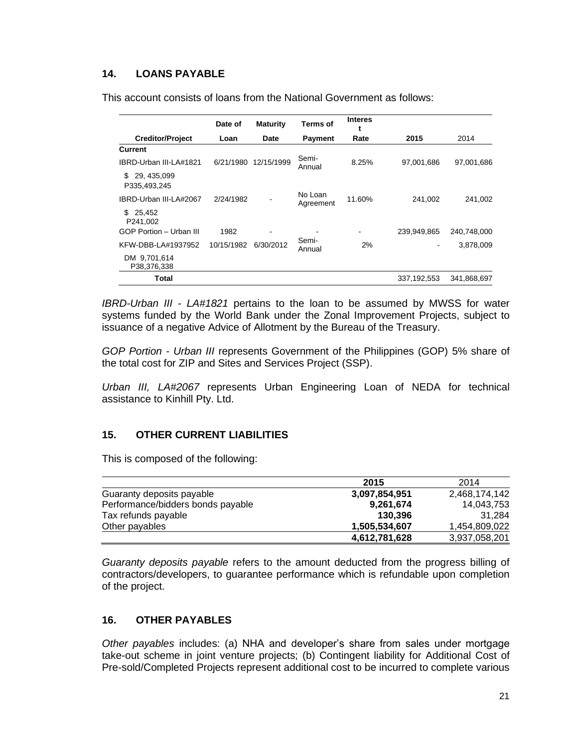### **14. LOANS PAYABLE**

This account consists of loans from the National Government as follows:

|                                    | Date of    | <b>Maturity</b> | Terms of             | <b>Interes</b> |             |             |
|------------------------------------|------------|-----------------|----------------------|----------------|-------------|-------------|
| <b>Creditor/Project</b>            | Loan       | Date            | <b>Payment</b>       | Rate           | 2015        | 2014        |
| Current                            |            |                 |                      |                |             |             |
| IBRD-Urban III-LA#1821             | 6/21/1980  | 12/15/1999      | Semi-<br>Annual      | 8.25%          | 97,001,686  | 97,001,686  |
| 29, 435, 099<br>S.<br>P335.493.245 |            |                 |                      |                |             |             |
| IBRD-Urban III-LA#2067             | 2/24/1982  | ۰               | No Loan<br>Agreement | 11.60%         | 241.002     | 241.002     |
| 25.452<br>\$.<br>P241.002          |            |                 |                      |                |             |             |
| GOP Portion - Urban III            | 1982       |                 |                      |                | 239,949,865 | 240,748,000 |
| KFW-DBB-LA#1937952                 | 10/15/1982 | 6/30/2012       | Semi-<br>Annual      | 2%             | ۰           | 3,878,009   |
| DM 9.701.614<br>P38,376,338        |            |                 |                      |                |             |             |
| Total                              |            |                 |                      |                | 337,192,553 | 341.868.697 |

*IBRD-Urban III - LA#1821* pertains to the loan to be assumed by MWSS for water systems funded by the World Bank under the Zonal Improvement Projects, subject to issuance of a negative Advice of Allotment by the Bureau of the Treasury.

*GOP Portion - Urban III* represents Government of the Philippines (GOP) 5% share of the total cost for ZIP and Sites and Services Project (SSP).

*Urban III, LA#2067* represents Urban Engineering Loan of NEDA for technical assistance to Kinhill Pty. Ltd.

#### **15. OTHER CURRENT LIABILITIES**

This is composed of the following:

|                                   | 2015          | 2014          |
|-----------------------------------|---------------|---------------|
| Guaranty deposits payable         | 3,097,854,951 | 2,468,174,142 |
| Performance/bidders bonds payable | 9,261,674     | 14.043.753    |
| Tax refunds payable               | 130.396       | 31.284        |
| Other payables                    | 1.505.534.607 | 1.454.809.022 |
|                                   | 4,612,781,628 | 3,937,058,201 |

*Guaranty deposits payable* refers to the amount deducted from the progress billing of contractors/developers, to guarantee performance which is refundable upon completion of the project.

### **16. OTHER PAYABLES**

*Other payables* includes: (a) NHA and developer's share from sales under mortgage take-out scheme in joint venture projects; (b) Contingent liability for Additional Cost of Pre-sold/Completed Projects represent additional cost to be incurred to complete various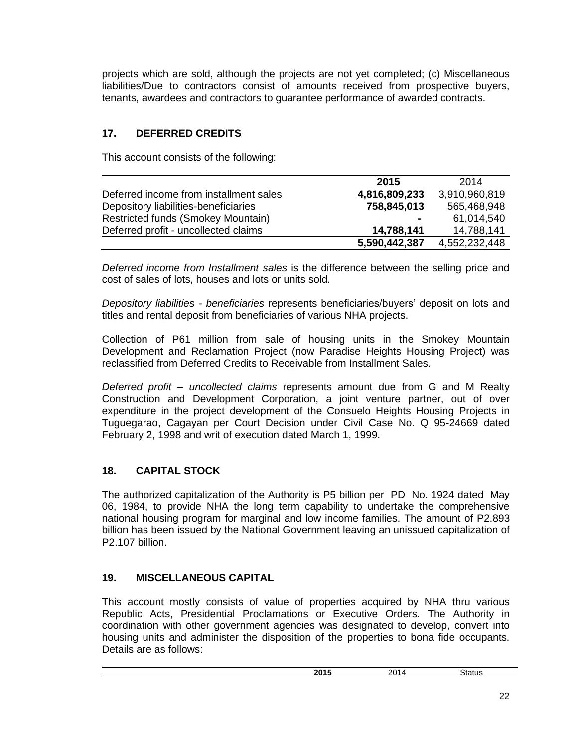projects which are sold, although the projects are not yet completed; (c) Miscellaneous liabilities/Due to contractors consist of amounts received from prospective buyers, tenants, awardees and contractors to guarantee performance of awarded contracts.

# **17. DEFERRED CREDITS**

This account consists of the following:

|                                        | 2015           | 2014          |
|----------------------------------------|----------------|---------------|
| Deferred income from installment sales | 4,816,809,233  | 3,910,960,819 |
| Depository liabilities-beneficiaries   | 758,845,013    | 565,468,948   |
| Restricted funds (Smokey Mountain)     | $\blacksquare$ | 61,014,540    |
| Deferred profit - uncollected claims   | 14,788,141     | 14,788,141    |
|                                        | 5,590,442,387  | 4,552,232,448 |

*Deferred income from Installment sales* is the difference between the selling price and cost of sales of lots, houses and lots or units sold.

*Depository liabilities - beneficiaries* represents beneficiaries/buyers' deposit on lots and titles and rental deposit from beneficiaries of various NHA projects.

Collection of P61 million from sale of housing units in the Smokey Mountain Development and Reclamation Project (now Paradise Heights Housing Project) was reclassified from Deferred Credits to Receivable from Installment Sales.

*Deferred profit – uncollected claims* represents amount due from G and M Realty Construction and Development Corporation, a joint venture partner, out of over expenditure in the project development of the Consuelo Heights Housing Projects in Tuguegarao, Cagayan per Court Decision under Civil Case No. Q 95-24669 dated February 2, 1998 and writ of execution dated March 1, 1999.

# **18. CAPITAL STOCK**

The authorized capitalization of the Authority is P5 billion per PD No. 1924 dated May 06, 1984, to provide NHA the long term capability to undertake the comprehensive national housing program for marginal and low income families. The amount of P2.893 billion has been issued by the National Government leaving an unissued capitalization of P2.107 billion.

#### **19. MISCELLANEOUS CAPITAL**

This account mostly consists of value of properties acquired by NHA thru various Republic Acts, Presidential Proclamations or Executive Orders. The Authority in coordination with other government agencies was designated to develop, convert into housing units and administer the disposition of the properties to bona fide occupants. Details are as follows:

| .<br>nne.<br>. .<br>--<br>---- | ററ<br>. .<br>-<br>_______ |  |
|--------------------------------|---------------------------|--|
|                                |                           |  |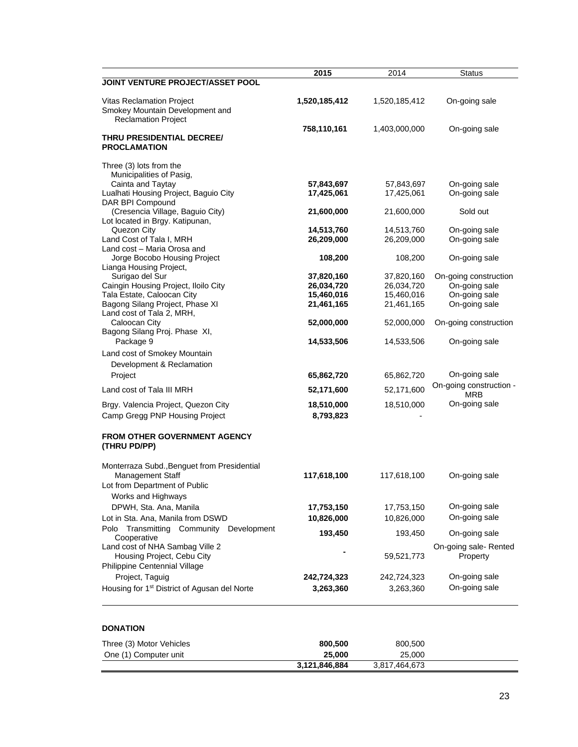|                                                               | 2015          | 2014          | <b>Status</b>           |
|---------------------------------------------------------------|---------------|---------------|-------------------------|
| JOINT VENTURE PROJECT/ASSET POOL                              |               |               |                         |
|                                                               |               |               |                         |
| Vitas Reclamation Project                                     | 1,520,185,412 | 1,520,185,412 | On-going sale           |
| Smokey Mountain Development and<br><b>Reclamation Project</b> |               |               |                         |
|                                                               | 758,110,161   | 1,403,000,000 | On-going sale           |
| THRU PRESIDENTIAL DECREE/<br><b>PROCLAMATION</b>              |               |               |                         |
| Three (3) lots from the                                       |               |               |                         |
| Municipalities of Pasig,                                      |               |               |                         |
| Cainta and Taytay                                             | 57,843,697    | 57,843,697    | On-going sale           |
| Lualhati Housing Project, Baguio City                         | 17,425,061    | 17,425,061    | On-going sale           |
| DAR BPI Compound<br>(Cresencia Village, Baguio City)          | 21,600,000    | 21,600,000    | Sold out                |
| Lot located in Brgy. Katipunan,                               |               |               |                         |
| Quezon City                                                   | 14,513,760    | 14,513,760    | On-going sale           |
| Land Cost of Tala I, MRH                                      | 26,209,000    | 26,209,000    | On-going sale           |
| Land cost - Maria Orosa and                                   |               |               |                         |
| Jorge Bocobo Housing Project<br>Lianga Housing Project,       | 108,200       | 108,200       | On-going sale           |
| Surigao del Sur                                               | 37,820,160    | 37,820,160    | On-going construction   |
| Caingin Housing Project, Iloilo City                          | 26,034,720    | 26,034,720    | On-going sale           |
| Tala Estate, Caloocan City                                    | 15,460,016    | 15,460,016    | On-going sale           |
| Bagong Silang Project, Phase XI                               | 21,461,165    | 21,461,165    | On-going sale           |
| Land cost of Tala 2, MRH,<br>Caloocan City                    |               | 52,000,000    | On-going construction   |
| Bagong Silang Proj. Phase XI,                                 | 52,000,000    |               |                         |
| Package 9                                                     | 14,533,506    | 14,533,506    | On-going sale           |
| Land cost of Smokey Mountain                                  |               |               |                         |
| Development & Reclamation                                     |               |               |                         |
| Project                                                       | 65,862,720    | 65,862,720    | On-going sale           |
|                                                               |               |               | On-going construction - |
| Land cost of Tala III MRH                                     | 52,171,600    | 52,171,600    | <b>MRB</b>              |
| Brgy. Valencia Project, Quezon City                           | 18,510,000    | 18,510,000    | On-going sale           |
| Camp Gregg PNP Housing Project                                | 8,793,823     |               |                         |
| <b>FROM OTHER GOVERNMENT AGENCY</b>                           |               |               |                         |
| (THRU PD/PP)                                                  |               |               |                         |
| Monterraza Subd., Benguet from Presidential                   |               |               |                         |
| <b>Management Staff</b>                                       | 117,618,100   | 117,618,100   | On-going sale           |
| Lot from Department of Public                                 |               |               |                         |
| Works and Highways                                            |               |               |                         |
| DPWH, Sta. Ana, Manila                                        | 17,753,150    | 17,753,150    | On-going sale           |
| Lot in Sta. Ana, Manila from DSWD                             | 10,826,000    | 10,826,000    | On-going sale           |
| Transmitting Community Development<br>Polo                    |               |               |                         |
| Cooperative                                                   | 193,450       | 193,450       | On-going sale           |
| Land cost of NHA Sambag Ville 2                               |               |               | On-going sale-Rented    |
| Housing Project, Cebu City                                    |               | 59,521,773    | Property                |
| Philippine Centennial Village                                 |               |               |                         |
| Project, Taguig                                               | 242,724,323   | 242,724,323   | On-going sale           |
| Housing for 1 <sup>st</sup> District of Agusan del Norte      | 3,263,360     | 3,263,360     | On-going sale           |

#### **DONATION**

| Three (3) Motor Vehicles | 800,500       | 800,500       |  |
|--------------------------|---------------|---------------|--|
| One (1) Computer unit    | 25,000        | 25,000        |  |
|                          | 3.121.846.884 | 3.817.464.673 |  |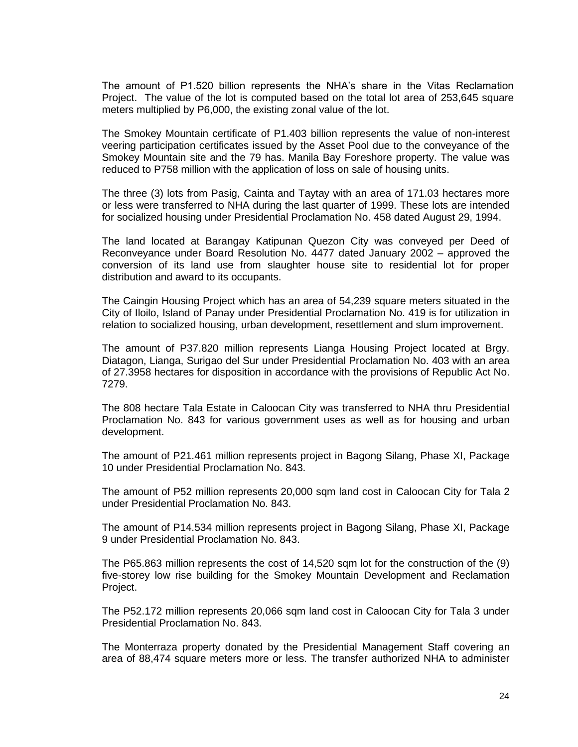The amount of P1.520 billion represents the NHA's share in the Vitas Reclamation Project. The value of the lot is computed based on the total lot area of 253,645 square meters multiplied by P6,000, the existing zonal value of the lot.

The Smokey Mountain certificate of P1.403 billion represents the value of non-interest veering participation certificates issued by the Asset Pool due to the conveyance of the Smokey Mountain site and the 79 has. Manila Bay Foreshore property. The value was reduced to P758 million with the application of loss on sale of housing units.

The three (3) lots from Pasig, Cainta and Taytay with an area of 171.03 hectares more or less were transferred to NHA during the last quarter of 1999. These lots are intended for socialized housing under Presidential Proclamation No. 458 dated August 29, 1994.

The land located at Barangay Katipunan Quezon City was conveyed per Deed of Reconveyance under Board Resolution No. 4477 dated January 2002 – approved the conversion of its land use from slaughter house site to residential lot for proper distribution and award to its occupants.

The Caingin Housing Project which has an area of 54,239 square meters situated in the City of Iloilo, Island of Panay under Presidential Proclamation No. 419 is for utilization in relation to socialized housing, urban development, resettlement and slum improvement.

The amount of P37.820 million represents Lianga Housing Project located at Brgy. Diatagon, Lianga, Surigao del Sur under Presidential Proclamation No. 403 with an area of 27.3958 hectares for disposition in accordance with the provisions of Republic Act No. 7279.

The 808 hectare Tala Estate in Caloocan City was transferred to NHA thru Presidential Proclamation No. 843 for various government uses as well as for housing and urban development.

The amount of P21.461 million represents project in Bagong Silang, Phase XI, Package 10 under Presidential Proclamation No. 843.

The amount of P52 million represents 20,000 sqm land cost in Caloocan City for Tala 2 under Presidential Proclamation No. 843.

The amount of P14.534 million represents project in Bagong Silang, Phase XI, Package 9 under Presidential Proclamation No. 843.

The P65.863 million represents the cost of 14,520 sqm lot for the construction of the (9) five-storey low rise building for the Smokey Mountain Development and Reclamation Project.

The P52.172 million represents 20,066 sqm land cost in Caloocan City for Tala 3 under Presidential Proclamation No. 843.

The Monterraza property donated by the Presidential Management Staff covering an area of 88,474 square meters more or less. The transfer authorized NHA to administer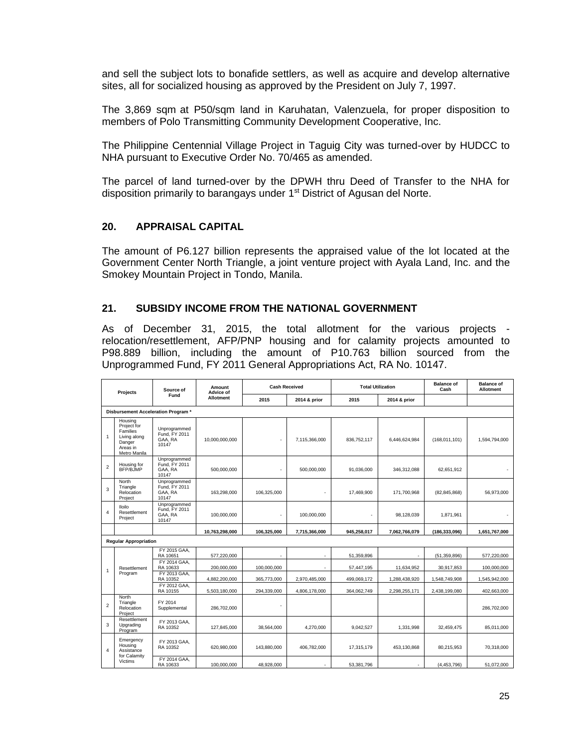and sell the subject lots to bonafide settlers, as well as acquire and develop alternative sites, all for socialized housing as approved by the President on July 7, 1997.

The 3,869 sqm at P50/sqm land in Karuhatan, Valenzuela, for proper disposition to members of Polo Transmitting Community Development Cooperative, Inc.

The Philippine Centennial Village Project in Taguig City was turned-over by HUDCC to NHA pursuant to Executive Order No. 70/465 as amended.

The parcel of land turned-over by the DPWH thru Deed of Transfer to the NHA for disposition primarily to barangays under 1<sup>st</sup> District of Agusan del Norte.

#### **20. APPRAISAL CAPITAL**

The amount of P6.127 billion represents the appraised value of the lot located at the Government Center North Triangle, a joint venture project with Ayala Land, Inc. and the Smokey Mountain Project in Tondo, Manila.

#### **21. SUBSIDY INCOME FROM THE NATIONAL GOVERNMENT**

As of December 31, 2015, the total allotment for the various projects relocation/resettlement, AFP/PNP housing and for calamity projects amounted to P98.889 billion, including the amount of P10.763 billion sourced from the Unprogrammed Fund, FY 2011 General Appropriations Act, RA No. 10147.

| <b>Projects</b>                     |                                                                                                 | Source of                                         | Amount<br><b>Advice of</b> | <b>Cash Received</b>     |                          | <b>Total Utilization</b> |                          | <b>Balance of</b><br>Cash | <b>Balance of</b><br><b>Allotment</b> |
|-------------------------------------|-------------------------------------------------------------------------------------------------|---------------------------------------------------|----------------------------|--------------------------|--------------------------|--------------------------|--------------------------|---------------------------|---------------------------------------|
|                                     |                                                                                                 | Fund                                              | Allotment                  | 2015                     | 2014 & prior             | 2015                     | 2014 & prior             |                           |                                       |
| Disbursement Acceleration Program * |                                                                                                 |                                                   |                            |                          |                          |                          |                          |                           |                                       |
| 1                                   | Housing<br>Project for<br><b>Families</b><br>Living along<br>Danger<br>Areas in<br>Metro Manila | Unprogrammed<br>Fund, FY 2011<br>GAA, RA<br>10147 | 10,000,000,000             |                          | 7,115,366,000            | 836,752,117              | 6,446,624,984            | (168,011,101)             | 1,594,794,000                         |
| $\overline{2}$                      | Housing for<br>BFP/B.JMP                                                                        | Unprogrammed<br>Fund, FY 2011<br>GAA, RA<br>10147 | 500,000,000                | $\overline{\phantom{a}}$ | 500,000,000              | 91,036,000               | 346,312,088              | 62,651,912                |                                       |
| 3                                   | North<br>Triangle<br>Relocation<br>Project                                                      | Unprogrammed<br>Fund, FY 2011<br>GAA, RA<br>10147 | 163.298.000                | 106.325.000              | $\overline{a}$           | 17.469.900               | 171.700.968              | (82, 845, 868)            | 56.973.000                            |
| $\overline{4}$                      | <b>Iloilo</b><br>Resettlement<br>Project                                                        | Unprogrammed<br>Fund, FY 2011<br>GAA, RA<br>10147 | 100,000,000                | $\overline{\phantom{a}}$ | 100.000.000              |                          | 98.128.039               | 1.871.961                 |                                       |
|                                     |                                                                                                 |                                                   | 10.763.298.000             | 106.325.000              | 7.715.366.000            | 945.258.017              | 7.062.766.079            | (186, 333, 096)           | 1.651.767.000                         |
|                                     | <b>Regular Appropriation</b>                                                                    |                                                   |                            |                          |                          |                          |                          |                           |                                       |
|                                     |                                                                                                 | FY 2015 GAA.<br>RA 10651                          | 577.220.000                | ٠                        | $\overline{\phantom{a}}$ | 51.359.896               | $\overline{\phantom{a}}$ | (51.359.896)              | 577.220.000                           |
| $\mathbf{1}$                        | Resettlement                                                                                    | FY 2014 GAA.<br>RA 10633                          | 200,000,000                | 100,000,000              |                          | 57,447,195               | 11,634,952               | 30,917,853                | 100,000,000                           |
|                                     | Program                                                                                         | FY 2013 GAA.<br>RA 10352                          | 4,882,200,000              | 365,773,000              | 2,970,485,000            | 499,069,172              | 1,288,438,920            | 1,548,749,908             | 1,545,942,000                         |
|                                     |                                                                                                 | FY 2012 GAA.<br>RA 10155                          | 5,503,180,000              | 294,339,000              | 4,806,178,000            | 364,062,749              | 2.298.255.171            | 2,438,199,080             | 402.663.000                           |
| $\overline{2}$                      | North<br>Triangle<br>Relocation<br>Project                                                      | FY 2014<br>Supplemental                           | 286.702.000                | $\overline{a}$           |                          |                          |                          |                           | 286,702,000                           |
| 3                                   | Resettlement<br>Upgrading<br>Program                                                            | FY 2013 GAA.<br>RA 10352                          | 127.845.000                | 38.564.000               | 4.270.000                | 9.042.527                | 1.331.998                | 32.459.475                | 85.011.000                            |
| $\Delta$                            | Emergency<br>Housing<br>Assistance<br>for Calamity                                              | FY 2013 GAA.<br>RA 10352                          | 620,980,000                | 143,880,000              | 406,782,000              | 17,315,179               | 453,130,868              | 80,215,953                | 70,318,000                            |
|                                     | <b>Victims</b>                                                                                  | FY 2014 GAA.<br>RA 10633                          | 100,000,000                | 48,928,000               |                          | 53,381,796               |                          | (4,453,796)               | 51,072,000                            |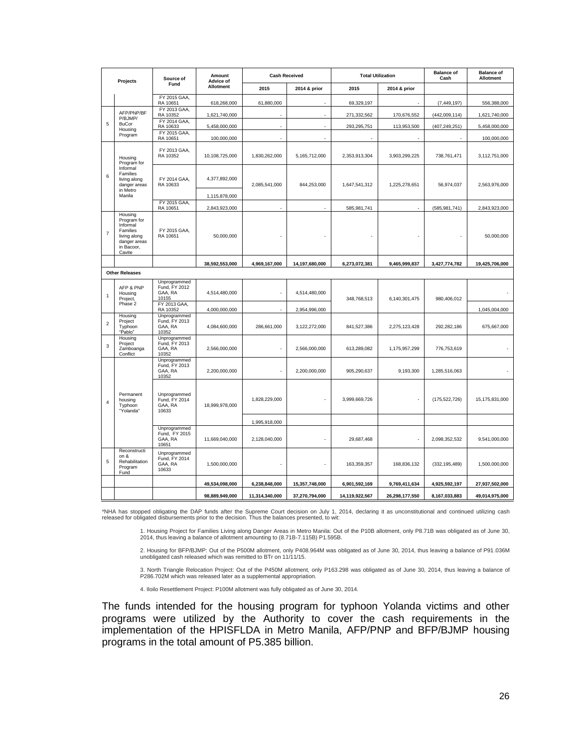| Projects       |                                                                                                        | Source of<br>Fund                                 | Amount<br><b>Advice of</b><br>Allotment | <b>Cash Received</b> |                | <b>Total Utilization</b> |                | <b>Balance of</b><br>Cash | <b>Balance of</b><br><b>Allotment</b> |
|----------------|--------------------------------------------------------------------------------------------------------|---------------------------------------------------|-----------------------------------------|----------------------|----------------|--------------------------|----------------|---------------------------|---------------------------------------|
|                |                                                                                                        |                                                   |                                         | 2015                 | 2014 & prior   | 2015                     | 2014 & prior   |                           |                                       |
|                |                                                                                                        | FY 2015 GAA,<br>RA 10651                          | 618,268,000                             | 61,880,000           |                | 69,329,197               |                | (7, 449, 197)             | 556,388,000                           |
|                | AFP/PNP/BF<br>P/BJMP/<br><b>BuCor</b><br>Housing                                                       | FY 2013 GAA,<br>RA 10352                          | 1,621,740,000                           |                      |                | 271,332,562              | 170,676,552    | (442,009,114)             | 1,621,740,000                         |
| $\overline{5}$ |                                                                                                        | FY 2014 GAA,<br>RA 10633                          | 5,458,000,000                           |                      |                | 293,295,751              | 113,953,500    | (407, 249, 251)           | 5,458,000,000                         |
|                | Program                                                                                                | FY 2015 GAA,<br>RA 10651                          | 100,000,000                             |                      |                |                          |                |                           | 100,000,000                           |
| 6              | Housing<br>Program for<br>Informal<br>Families<br>living along<br>danger areas                         | FY 2013 GAA.<br>RA 10352                          | 10,108,725,000                          | 1,830,262,000        | 5,165,712,000  | 2,353,913,304            | 3,903,299,225  | 738,761,471               | 3,112,751,000                         |
|                |                                                                                                        | FY 2014 GAA,<br>RA 10633                          | 4,377,892,000                           | 2,085,541,000        | 844,253,000    | 1,647,541,312            | 1,225,278,651  | 56,974,037                | 2,563,976,000                         |
|                | in Metro<br>Manila                                                                                     |                                                   | 1,115,878,000                           |                      |                |                          |                |                           |                                       |
|                |                                                                                                        | FY 2015 GAA,<br>RA 10651                          | 2,843,923,000                           | ÷.                   | $\overline{a}$ | 585,981,741              |                | (585, 981, 741)           | 2,843,923,000                         |
| $\overline{7}$ | Housing<br>Program for<br>Informal<br>Families<br>living along<br>danger areas<br>in Bacoor,<br>Cavite | FY 2015 GAA,<br>RA 10651                          | 50,000,000                              |                      |                |                          |                |                           | 50,000,000                            |
|                |                                                                                                        |                                                   | 38,592,553,000                          | 4,969,167,000        | 14,197,680,000 | 6,273,072,381            | 9,465,999,837  | 3,427,774,782             | 19,425,706,000                        |
|                | <b>Other Releases</b>                                                                                  |                                                   |                                         |                      |                |                          |                |                           |                                       |
| $\mathbf{1}$   | AFP & PNP<br>Housing<br>Project,                                                                       | Unprogrammed<br>Fund, FY 2012<br>GAA, RA<br>10155 | 4,514,480,000                           |                      | 4,514,480,000  | 348,768,513              | 6,140,301,475  | 980,406,012               |                                       |
|                | Phase 2                                                                                                | FY 2013 GAA,<br>RA 10352                          | 4,000,000,000                           |                      | 2,954,996,000  |                          |                |                           | 1,045,004,000                         |
| $\overline{2}$ | Housing<br>Project<br>Typhoon<br>"Pablo"                                                               | Unprogrammed<br>Fund, FY 2013<br>GAA, RA<br>10352 | 4,084,600,000                           | 286,661,000          | 3,122,272,000  | 841,527,386              | 2,275,123,428  | 292,282,186               | 675,667,000                           |
| 3              | Housing<br>Project<br>Zamboanga<br>Conflict                                                            | Unprogrammed<br>Fund, FY 2013<br>GAA, RA<br>10352 | 2,566,000,000                           |                      | 2,566,000,000  | 613,289,082              | 1,175,957,299  | 776,753,619               |                                       |
| $\overline{4}$ | Permanent<br>housing<br>Typhoon<br>"Yolanda'                                                           | Unprogrammed<br>Fund, FY 2013<br>GAA, RA<br>10352 | 2,200,000,000                           |                      | 2,200,000,000  | 905,290,637              | 9,193,300      | 1,285,516,063             |                                       |
|                |                                                                                                        | Unprogrammed<br>Fund, FY 2014<br>GAA, RA<br>10633 | 18.999.978.000                          | 1,828,229,000        |                | 3,999,669,726            |                | (175, 522, 726)           | 15,175,831,000                        |
|                |                                                                                                        |                                                   |                                         | 1,995,918,000        |                |                          |                |                           |                                       |
|                |                                                                                                        | Unprogrammed<br>Fund, FY 2015<br>GAA, RA<br>10651 | 11,669,040,000                          | 2,128,040,000        |                | 29,687,468               |                | 2,098,352,532             | 9,541,000,000                         |
| $\overline{5}$ | Reconstructi<br>on &<br>Rehabilitation<br>Program<br>Fund                                              | Unprogrammed<br>Fund, FY 2014<br>GAA, RA<br>10633 | 1,500,000,000                           |                      |                | 163,359,357              | 168,836,132    | (332, 195, 489)           | 1,500,000,000                         |
|                |                                                                                                        |                                                   | 49,534,098,000                          | 6,238,848,000        | 15,357,748,000 | 6,901,592,169            | 9,769,411,634  | 4,925,592,197             | 27,937,502,000                        |
|                |                                                                                                        |                                                   | 98.889.949.000                          | 11,314,340,000       | 37,270,794,000 | 14.119.922.567           | 26.298.177.550 | 8,167,033,883             | 49.014.975.000                        |

\*NHA has stopped obligating the DAP funds after the Supreme Court decision on July 1, 2014, declaring it as unconstitutional and continued utilizing cash released for obligated disbursements prior to the decision. Thus the balances presented, to wit:

1. Housing Project for Families Living along Danger Areas in Metro Manila: Out of the P10B allotment, only P8.71B was obligated as of June 30, 2014, thus leaving a balance of allotment amounting to (8.71B-7.115B) P1.595B.

2. Housing for BFP/BJMP: Out of the P500M allotment, only P408.964M was obligated as of June 30, 2014, thus leaving a balance of P91.036M unobligated cash released which was remitted to BTr on 11/11/15.

3. North Triangle Relocation Project: Out of the P450M allotment, only P163.298 was obligated as of June 30, 2014, thus leaving a balance of P286.702M which was released later as a supplemental appropriation.

4. Iloilo Resettlement Project: P100M allotment was fully obligated as of June 30, 2014.

The funds intended for the housing program for typhoon Yolanda victims and other programs were utilized by the Authority to cover the cash requirements in the implementation of the HPISFLDA in Metro Manila, AFP/PNP and BFP/BJMP housing programs in the total amount of P5.385 billion.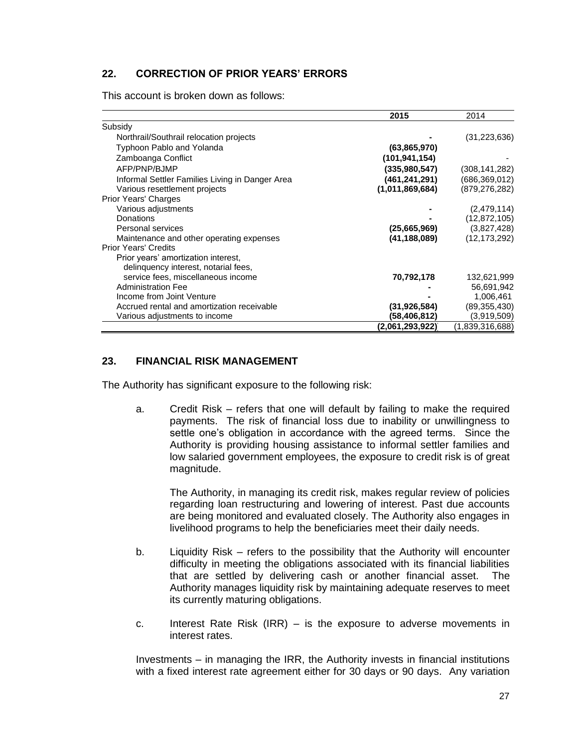#### **22. CORRECTION OF PRIOR YEARS' ERRORS**

This account is broken down as follows:

|                                                 | 2015            | 2014            |
|-------------------------------------------------|-----------------|-----------------|
| Subsidy                                         |                 |                 |
| Northrail/Southrail relocation projects         |                 | (31, 223, 636)  |
| Typhoon Pablo and Yolanda                       | (63,865,970)    |                 |
| Zamboanga Conflict                              | (101, 941, 154) |                 |
| AFP/PNP/BJMP                                    | (335,980,547)   | (308, 141, 282) |
| Informal Settler Families Living in Danger Area | (461,241,291)   | (686, 369, 012) |
| Various resettlement projects                   | (1,011,869,684) | (879, 276, 282) |
| Prior Years' Charges                            |                 |                 |
| Various adjustments                             |                 | (2,479,114)     |
| <b>Donations</b>                                |                 | (12, 872, 105)  |
| Personal services                               | (25,665,969)    | (3,827,428)     |
| Maintenance and other operating expenses        | (41, 188, 089)  | (12, 173, 292)  |
| <b>Prior Years' Credits</b>                     |                 |                 |
| Prior years' amortization interest,             |                 |                 |
| delinguency interest, notarial fees,            |                 |                 |
| service fees, miscellaneous income              | 70,792,178      | 132,621,999     |
| <b>Administration Fee</b>                       |                 | 56,691,942      |
| Income from Joint Venture                       |                 | 1,006,461       |
| Accrued rental and amortization receivable      | (31,926,584)    | (89, 355, 430)  |
| Various adjustments to income                   | (58,406,812)    | (3,919,509)     |
|                                                 | (2,061,293,922) | (1,839,316,688) |

#### **23. FINANCIAL RISK MANAGEMENT**

The Authority has significant exposure to the following risk:

a. Credit Risk – refers that one will default by failing to make the required payments. The risk of financial loss due to inability or unwillingness to settle one's obligation in accordance with the agreed terms. Since the Authority is providing housing assistance to informal settler families and low salaried government employees, the exposure to credit risk is of great magnitude.

The Authority, in managing its credit risk, makes regular review of policies regarding loan restructuring and lowering of interest. Past due accounts are being monitored and evaluated closely. The Authority also engages in livelihood programs to help the beneficiaries meet their daily needs.

- b. Liquidity Risk refers to the possibility that the Authority will encounter difficulty in meeting the obligations associated with its financial liabilities that are settled by delivering cash or another financial asset. The Authority manages liquidity risk by maintaining adequate reserves to meet its currently maturing obligations.
- c. Interest Rate Risk (IRR) is the exposure to adverse movements in interest rates.

Investments – in managing the IRR, the Authority invests in financial institutions with a fixed interest rate agreement either for 30 days or 90 days. Any variation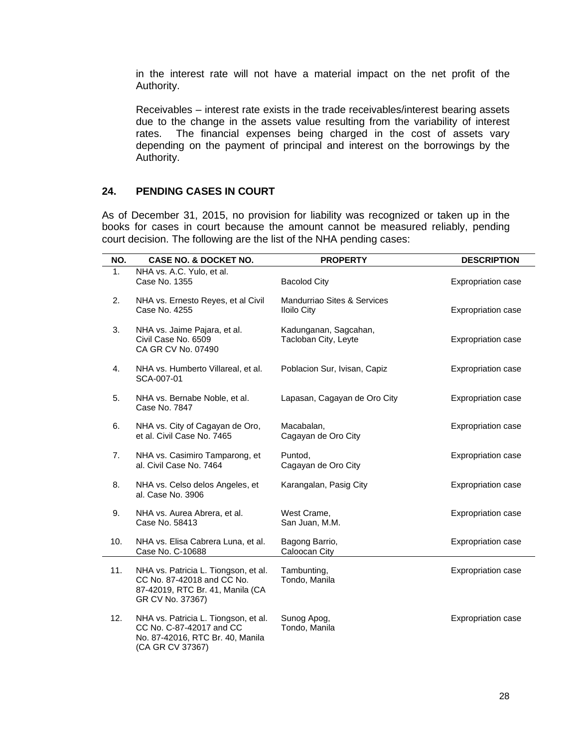in the interest rate will not have a material impact on the net profit of the Authority.

Receivables – interest rate exists in the trade receivables/interest bearing assets due to the change in the assets value resulting from the variability of interest rates. The financial expenses being charged in the cost of assets vary depending on the payment of principal and interest on the borrowings by the Authority.

#### **24. PENDING CASES IN COURT**

As of December 31, 2015, no provision for liability was recognized or taken up in the books for cases in court because the amount cannot be measured reliably, pending court decision. The following are the list of the NHA pending cases:

| NO. | <b>CASE NO. &amp; DOCKET NO.</b>                                                                                           | <b>PROPERTY</b>                                   | <b>DESCRIPTION</b>        |
|-----|----------------------------------------------------------------------------------------------------------------------------|---------------------------------------------------|---------------------------|
| 1.  | NHA vs. A.C. Yulo, et al.<br>Case No. 1355                                                                                 | <b>Bacolod City</b>                               | Expropriation case        |
| 2.  | NHA vs. Ernesto Reyes, et al Civil<br>Case No. 4255                                                                        | Mandurriao Sites & Services<br><b>Iloilo City</b> | <b>Expropriation case</b> |
| 3.  | NHA vs. Jaime Pajara, et al.<br>Civil Case No. 6509<br>CA GR CV No. 07490                                                  | Kadunganan, Sagcahan,<br>Tacloban City, Leyte     | Expropriation case        |
| 4.  | NHA vs. Humberto Villareal, et al.<br>SCA-007-01                                                                           | Poblacion Sur, Ivisan, Capiz                      | Expropriation case        |
| 5.  | NHA vs. Bernabe Noble, et al.<br>Case No. 7847                                                                             | Lapasan, Cagayan de Oro City                      | <b>Expropriation case</b> |
| 6.  | NHA vs. City of Cagayan de Oro,<br>et al. Civil Case No. 7465                                                              | Macabalan,<br>Cagayan de Oro City                 | Expropriation case        |
| 7.  | NHA vs. Casimiro Tamparong, et<br>al. Civil Case No. 7464                                                                  | Puntod,<br>Cagayan de Oro City                    | Expropriation case        |
| 8.  | NHA vs. Celso delos Angeles, et<br>al. Case No. 3906                                                                       | Karangalan, Pasig City                            | <b>Expropriation case</b> |
| 9.  | NHA vs. Aurea Abrera, et al.<br>Case No. 58413                                                                             | West Crame,<br>San Juan, M.M.                     | <b>Expropriation case</b> |
| 10. | NHA vs. Elisa Cabrera Luna, et al.<br>Case No. C-10688                                                                     | Bagong Barrio,<br>Caloocan City                   | <b>Expropriation case</b> |
| 11. | NHA vs. Patricia L. Tiongson, et al.<br>CC No. 87-42018 and CC No.<br>87-42019, RTC Br. 41, Manila (CA<br>GR CV No. 37367) | Tambunting,<br>Tondo, Manila                      | Expropriation case        |
| 12. | NHA vs. Patricia L. Tiongson, et al.<br>CC No. C-87-42017 and CC<br>No. 87-42016, RTC Br. 40, Manila<br>(CA GR CV 37367)   | Sunog Apog,<br>Tondo, Manila                      | <b>Expropriation case</b> |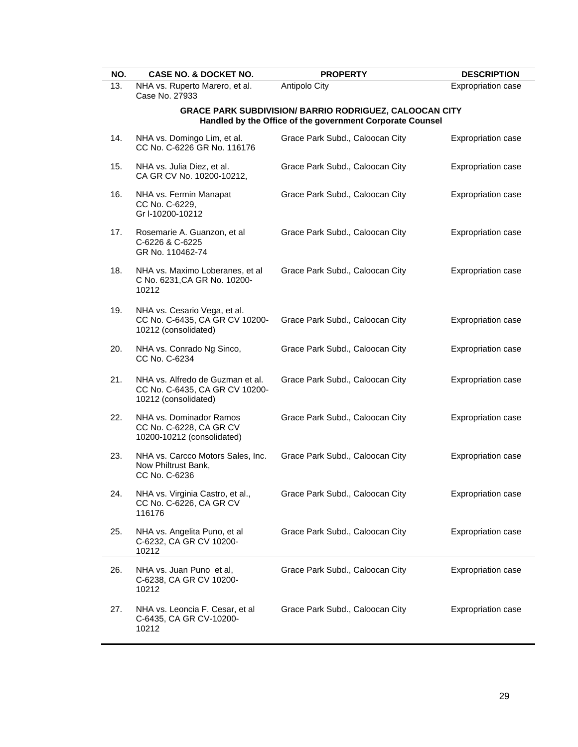| NO.                                                                                                                         | <b>CASE NO. &amp; DOCKET NO.</b>                                                           | <b>PROPERTY</b>                 | <b>DESCRIPTION</b>        |  |  |  |
|-----------------------------------------------------------------------------------------------------------------------------|--------------------------------------------------------------------------------------------|---------------------------------|---------------------------|--|--|--|
| 13.                                                                                                                         | NHA vs. Ruperto Marero, et al.<br>Case No. 27933                                           | Antipolo City                   | Expropriation case        |  |  |  |
| <b>GRACE PARK SUBDIVISION/ BARRIO RODRIGUEZ, CALOOCAN CITY</b><br>Handled by the Office of the government Corporate Counsel |                                                                                            |                                 |                           |  |  |  |
| 14.                                                                                                                         | NHA vs. Domingo Lim, et al.<br>CC No. C-6226 GR No. 116176                                 | Grace Park Subd., Caloocan City | <b>Expropriation case</b> |  |  |  |
| 15.                                                                                                                         | NHA vs. Julia Diez, et al.<br>CA GR CV No. 10200-10212,                                    | Grace Park Subd., Caloocan City | Expropriation case        |  |  |  |
| 16.                                                                                                                         | NHA vs. Fermin Manapat<br>CC No. C-6229,<br>Gr I-10200-10212                               | Grace Park Subd., Caloocan City | Expropriation case        |  |  |  |
| 17.                                                                                                                         | Rosemarie A. Guanzon, et al<br>C-6226 & C-6225<br>GR No. 110462-74                         | Grace Park Subd., Caloocan City | Expropriation case        |  |  |  |
| 18.                                                                                                                         | NHA vs. Maximo Loberanes, et al<br>C No. 6231, CA GR No. 10200-<br>10212                   | Grace Park Subd., Caloocan City | Expropriation case        |  |  |  |
| 19.                                                                                                                         | NHA vs. Cesario Vega, et al.<br>CC No. C-6435, CA GR CV 10200-<br>10212 (consolidated)     | Grace Park Subd., Caloocan City | Expropriation case        |  |  |  |
| 20.                                                                                                                         | NHA vs. Conrado Ng Sinco,<br>CC No. C-6234                                                 | Grace Park Subd., Caloocan City | <b>Expropriation case</b> |  |  |  |
| 21.                                                                                                                         | NHA vs. Alfredo de Guzman et al.<br>CC No. C-6435, CA GR CV 10200-<br>10212 (consolidated) | Grace Park Subd., Caloocan City | Expropriation case        |  |  |  |
| 22.                                                                                                                         | NHA vs. Dominador Ramos<br>CC No. C-6228, CA GR CV<br>10200-10212 (consolidated)           | Grace Park Subd., Caloocan City | Expropriation case        |  |  |  |
| 23.                                                                                                                         | NHA vs. Carcco Motors Sales, Inc.<br>Now Philtrust Bank,<br>CC No. C-6236                  | Grace Park Subd., Caloocan City | Expropriation case        |  |  |  |
| 24.                                                                                                                         | NHA vs. Virginia Castro, et al.,<br>CC No. C-6226, CA GR CV<br>116176                      | Grace Park Subd., Caloocan City | Expropriation case        |  |  |  |
| 25.                                                                                                                         | NHA vs. Angelita Puno, et al<br>C-6232, CA GR CV 10200-<br>10212                           | Grace Park Subd., Caloocan City | Expropriation case        |  |  |  |
| 26.                                                                                                                         | NHA vs. Juan Puno et al,<br>C-6238, CA GR CV 10200-<br>10212                               | Grace Park Subd., Caloocan City | Expropriation case        |  |  |  |
| 27.                                                                                                                         | NHA vs. Leoncia F. Cesar, et al<br>C-6435, CA GR CV-10200-<br>10212                        | Grace Park Subd., Caloocan City | <b>Expropriation case</b> |  |  |  |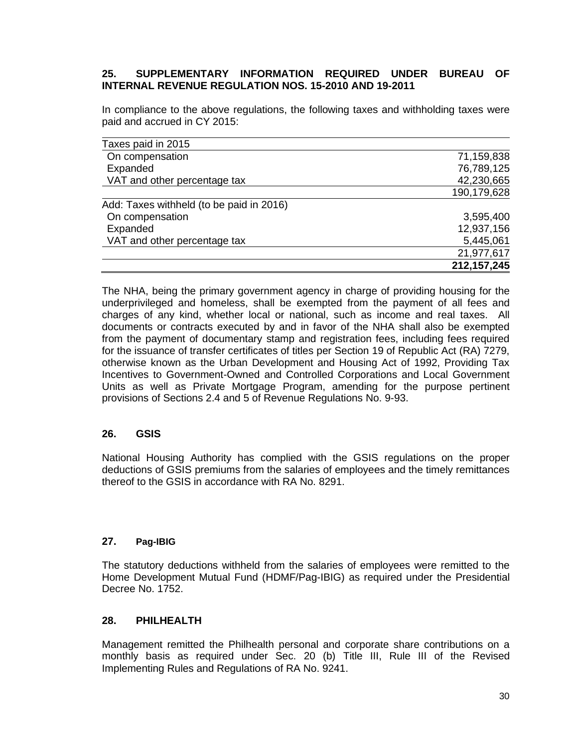### **25. SUPPLEMENTARY INFORMATION REQUIRED UNDER BUREAU OF INTERNAL REVENUE REGULATION NOS. 15-2010 AND 19-2011**

In compliance to the above regulations, the following taxes and withholding taxes were paid and accrued in CY 2015:

| Taxes paid in 2015                       |               |
|------------------------------------------|---------------|
| On compensation                          | 71,159,838    |
| Expanded                                 | 76,789,125    |
| VAT and other percentage tax             | 42,230,665    |
|                                          | 190,179,628   |
| Add: Taxes withheld (to be paid in 2016) |               |
| On compensation                          | 3,595,400     |
| Expanded                                 | 12,937,156    |
| VAT and other percentage tax             | 5,445,061     |
|                                          | 21,977,617    |
|                                          | 212, 157, 245 |

The NHA, being the primary government agency in charge of providing housing for the underprivileged and homeless, shall be exempted from the payment of all fees and charges of any kind, whether local or national, such as income and real taxes. All documents or contracts executed by and in favor of the NHA shall also be exempted from the payment of documentary stamp and registration fees, including fees required for the issuance of transfer certificates of titles per Section 19 of Republic Act (RA) 7279, otherwise known as the Urban Development and Housing Act of 1992, Providing Tax Incentives to Government-Owned and Controlled Corporations and Local Government Units as well as Private Mortgage Program, amending for the purpose pertinent provisions of Sections 2.4 and 5 of Revenue Regulations No. 9-93.

#### **26. GSIS**

National Housing Authority has complied with the GSIS regulations on the proper deductions of GSIS premiums from the salaries of employees and the timely remittances thereof to the GSIS in accordance with RA No. 8291.

#### **27. Pag-IBIG**

The statutory deductions withheld from the salaries of employees were remitted to the Home Development Mutual Fund (HDMF/Pag-IBIG) as required under the Presidential Decree No. 1752.

#### **28. PHILHEALTH**

Management remitted the Philhealth personal and corporate share contributions on a monthly basis as required under Sec. 20 (b) Title III, Rule III of the Revised Implementing Rules and Regulations of RA No. 9241.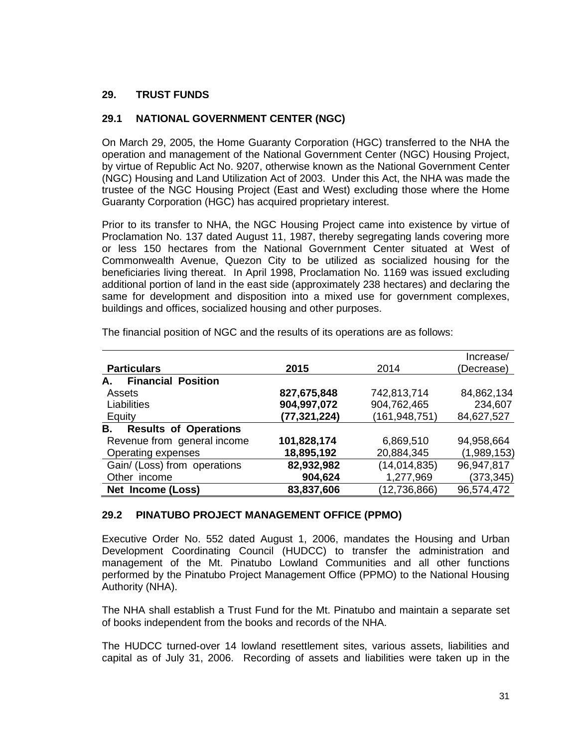### **29. TRUST FUNDS**

### **29.1 NATIONAL GOVERNMENT CENTER (NGC)**

On March 29, 2005, the Home Guaranty Corporation (HGC) transferred to the NHA the operation and management of the National Government Center (NGC) Housing Project, by virtue of Republic Act No. 9207, otherwise known as the National Government Center (NGC) Housing and Land Utilization Act of 2003. Under this Act, the NHA was made the trustee of the NGC Housing Project (East and West) excluding those where the Home Guaranty Corporation (HGC) has acquired proprietary interest.

Prior to its transfer to NHA, the NGC Housing Project came into existence by virtue of Proclamation No. 137 dated August 11, 1987, thereby segregating lands covering more or less 150 hectares from the National Government Center situated at West of Commonwealth Avenue, Quezon City to be utilized as socialized housing for the beneficiaries living thereat. In April 1998, Proclamation No. 1169 was issued excluding additional portion of land in the east side (approximately 238 hectares) and declaring the same for development and disposition into a mixed use for government complexes, buildings and offices, socialized housing and other purposes.

|                                    |              |                 | Increase/   |
|------------------------------------|--------------|-----------------|-------------|
| <b>Particulars</b>                 | 2015         | 2014            | (Decrease)  |
| <b>Financial Position</b><br>А.    |              |                 |             |
| Assets                             | 827,675,848  | 742,813,714     | 84,862,134  |
| Liabilities                        | 904,997,072  | 904,762,465     | 234,607     |
| Equity                             | (77,321,224) | (161, 948, 751) | 84,627,527  |
| <b>Results of Operations</b><br>В. |              |                 |             |
| Revenue from general income        | 101,828,174  | 6,869,510       | 94,958,664  |
| Operating expenses                 | 18,895,192   | 20,884,345      | (1,989,153) |
| Gain/ (Loss) from operations       | 82,932,982   | (14, 014, 835)  | 96,947,817  |
| Other income                       | 904,624      | 1,277,969       | (373,345)   |
| Net Income (Loss)                  | 83,837,606   | (12, 736, 866)  | 96,574,472  |

The financial position of NGC and the results of its operations are as follows:

#### **29.2 PINATUBO PROJECT MANAGEMENT OFFICE (PPMO)**

Executive Order No. 552 dated August 1, 2006, mandates the Housing and Urban Development Coordinating Council (HUDCC) to transfer the administration and management of the Mt. Pinatubo Lowland Communities and all other functions performed by the Pinatubo Project Management Office (PPMO) to the National Housing Authority (NHA).

The NHA shall establish a Trust Fund for the Mt. Pinatubo and maintain a separate set of books independent from the books and records of the NHA.

The HUDCC turned-over 14 lowland resettlement sites, various assets, liabilities and capital as of July 31, 2006. Recording of assets and liabilities were taken up in the